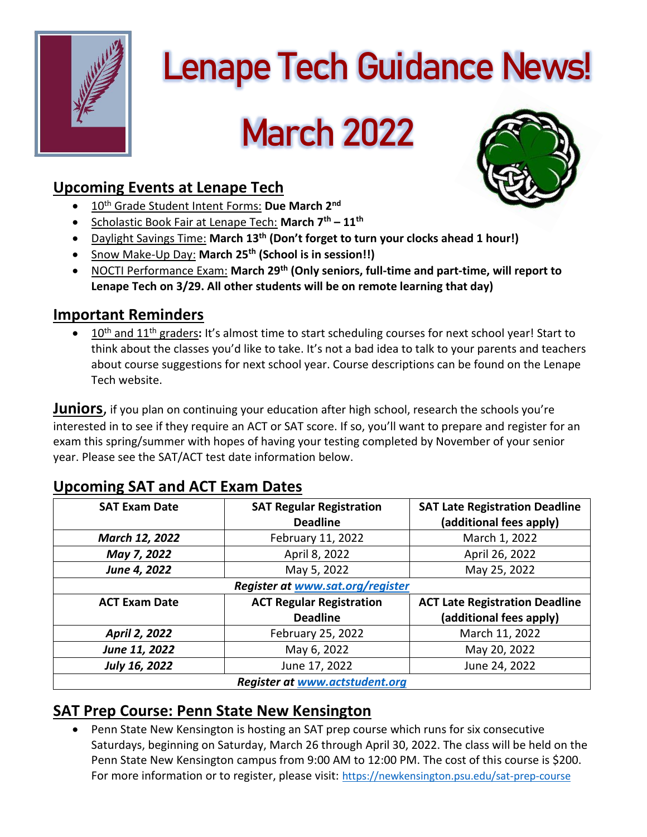

# **Lenape Tech Guidance News!**

# **March 2022**

## **Upcoming Events at Lenape Tech**

- 10th Grade Student Intent Forms: **Due March 2nd**
- Scholastic Book Fair at Lenape Tech: **March 7th – 11th**
- Daylight Savings Time: **March 13 th (Don't forget to turn your clocks ahead 1 hour!)**
- Snow Make-Up Day: **March 25 th (School is in session!!)**
- NOCTI Performance Exam: **March 29th (Only seniors, full-time and part-time, will report to Lenape Tech on 3/29. All other students will be on remote learning that day)**

#### **Important Reminders**

• 10th and 11th graders**:** It's almost time to start scheduling courses for next school year! Start to think about the classes you'd like to take. It's not a bad idea to talk to your parents and teachers about course suggestions for next school year. Course descriptions can be found on the Lenape Tech website.

**Juniors**, if you plan on continuing your education after high school, research the schools you're interested in to see if they require an ACT or SAT score. If so, you'll want to prepare and register for an exam this spring/summer with hopes of having your testing completed by November of your senior year. Please see the SAT/ACT test date information below.

| <b>SAT Exam Date</b> | <b>SAT Regular Registration</b>         | <b>SAT Late Registration Deadline</b> |
|----------------------|-----------------------------------------|---------------------------------------|
|                      | <b>Deadline</b>                         | (additional fees apply)               |
| March 12, 2022       | February 11, 2022                       | March 1, 2022                         |
| May 7, 2022          | April 8, 2022                           | April 26, 2022                        |
| June 4, 2022         | May 5, 2022                             | May 25, 2022                          |
|                      | <b>Register at www.sat.org/register</b> |                                       |
| <b>ACT Exam Date</b> | <b>ACT Regular Registration</b>         | <b>ACT Late Registration Deadline</b> |
|                      | <b>Deadline</b>                         | (additional fees apply)               |
| April 2, 2022        | February 25, 2022                       | March 11, 2022                        |
| June 11, 2022        | May 6, 2022                             | May 20, 2022                          |
| July 16, 2022        | June 17, 2022                           | June 24, 2022                         |
|                      | <b>Register at www.actstudent.org</b>   |                                       |

### **Upcoming SAT and ACT Exam Dates**

### **SAT Prep Course: Penn State New Kensington**

• Penn State New Kensington is hosting an SAT prep course which runs for six consecutive Saturdays, beginning on Saturday, March 26 through April 30, 2022. The class will be held on the Penn State New Kensington campus from 9:00 AM to 12:00 PM. The cost of this course is \$200. For more information or to register, please visit: <https://newkensington.psu.edu/sat-prep-course>